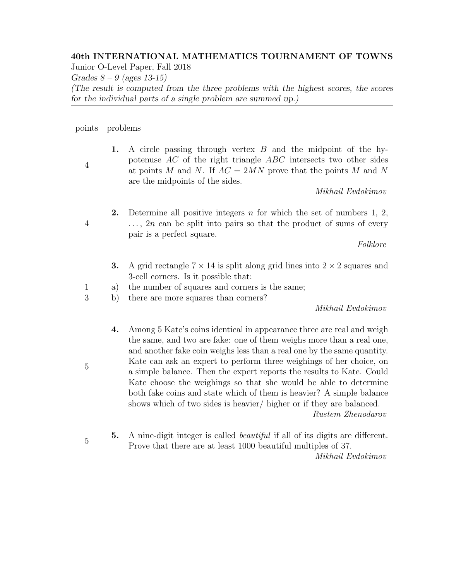## 40th INTERNATIONAL MATHEMATICS TOURNAMENT OF TOWNS

Junior O-Level Paper, Fall 2018

Grades  $8 - 9$  (ages 13-15)

(The result is computed from the three problems with the highest scores, the scores for the individual parts of a single problem are summed up.)

points problems

4

4

1. A circle passing through vertex  $B$  and the midpoint of the hypotenuse AC of the right triangle ABC intersects two other sides at points M and N. If  $AC = 2MN$  prove that the points M and N are the midpoints of the sides.

Mikhail Evdokimov

**2.** Determine all positive integers  $n$  for which the set of numbers 1, 2,  $\ldots$ , 2n can be split into pairs so that the product of sums of every pair is a perfect square.

Folklore

- 3. A grid rectangle  $7 \times 14$  is split along grid lines into  $2 \times 2$  squares and 3-cell corners. Is it possible that:
- 1 a) the number of squares and corners is the same;
- 3 b) there are more squares than corners?

Mikhail Evdokimov

- 4. Among 5 Kate's coins identical in appearance three are real and weigh the same, and two are fake: one of them weighs more than a real one, and another fake coin weighs less than a real one by the same quantity. Kate can ask an expert to perform three weighings of her choice, on a simple balance. Then the expert reports the results to Kate. Could Kate choose the weighings so that she would be able to determine both fake coins and state which of them is heavier? A simple balance shows which of two sides is heavier/ higher or if they are balanced. Rustem Zhenodarov
- 5. A nine-digit integer is called beautiful if all of its digits are different. Prove that there are at least 1000 beautiful multiples of 37. Mikhail Evdokimov
- 5

5